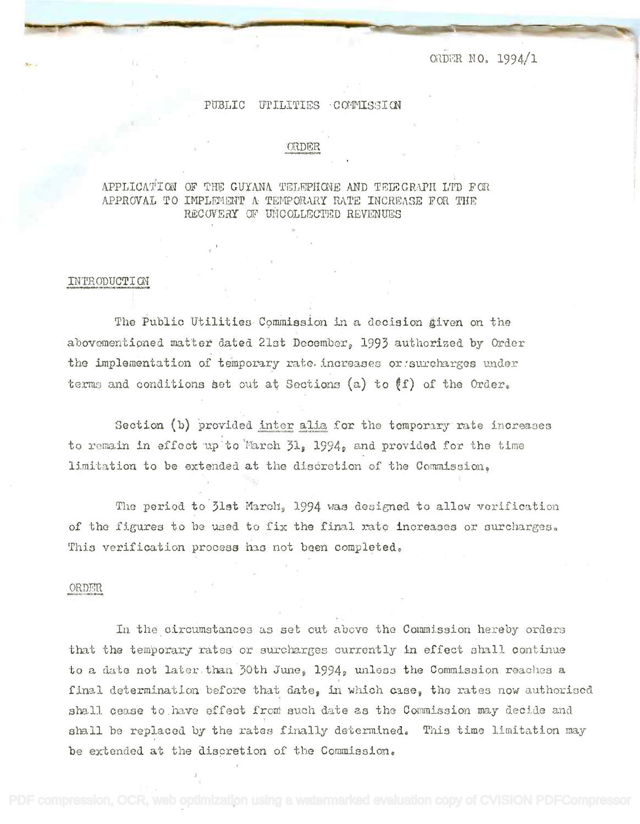O.IDER NO. 1994/1

#### PUBLIC UTILITIES COMMISSION

#### ORDER

### APPLICATION OF THE GUYANA TELEPHONE AND TELEGRAPH LTD FOR APPROVAL TO IMPLEMENT A TEMPORARY RATE INCREASE FOR THE RECOVERY OF UNCOLLECTED REVENUES

#### INTRODUCTION

The Public Utilities Commission in a decision given on the abovementioned matter dated 21st December, 1993 authorized by Order the implementation of temporary rate increases or~surcharges under terms and conditions set out at Sections (a) to  $(f)$  of the Order.

Section (b) provided inter alia for the temporary rate increases to remain in effect up to March 31, 1994, and provided for the time limitation to be extended at the discretion of the Commission. limitation to be extended at the discretion of the Commisslono

The period to 31st March, 1994 was designed to allow verification of the figures to be used to fix the final rate increases or surcharges. This verification process has not been completed.

#### ORDER

In the circumstances as set out above the Commission hereby orders that the temporary rates or surcharges currently in effect shall continue to a date not later than 30th June, 1994, unless the Commission reaches a final determination before that date, in which case, the rates now authorised shall cease to have effect from such date as the Commission may decide and shall be replaced by the rates finally determined. This time limitation may be extended at the discretion of the Commission.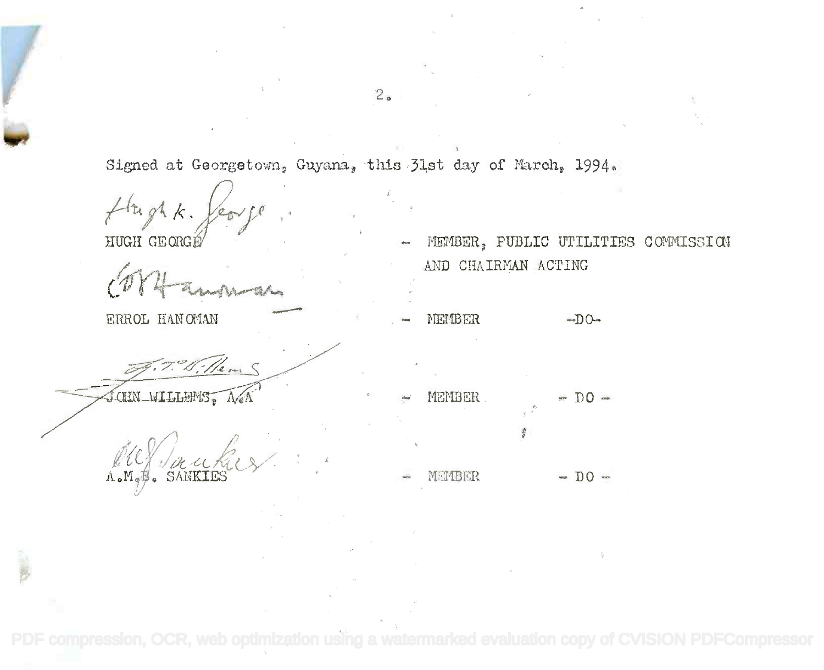Signed at Georgetown, Guyana, this 31st day of March, 1994.

Hughk.

HUGH GEORGÉ

ERROL HAN OMAN

Henry

CHN WILLIAMS, A.WA

 $A_{\bullet}M_{\bullet}$ 

- MEMBER, PUBLIC UTILITIES COMMISSION AND CHAIRMAN ACTING
- MEMBER  $-DO-$
- MEMBER.  $=$  DO  $=$
- $\sim$  DO  $\sim$ MEMBER

PDF compression, OCR, web optimization using

 $2<sub>o</sub>$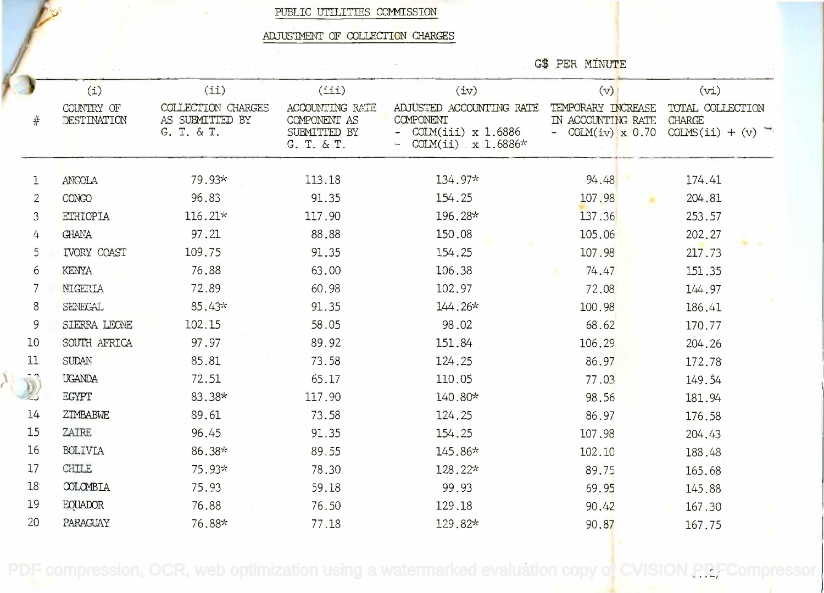PUBLIC UTILITIES COMMISSION

### ADJUSTMENT OF COLLECTION CHARGES

G\$ PER MINUTE

| (i)                       | (i)                                                 | (iii)                                                  | (iv)                                                                                   | (v)                                                              | (vi)                                                   |
|---------------------------|-----------------------------------------------------|--------------------------------------------------------|----------------------------------------------------------------------------------------|------------------------------------------------------------------|--------------------------------------------------------|
| COUNTRY OF<br>DESTINATION | COLLECTION CHARGES<br>AS SUBMITTED BY<br>G. T. & T. | <b>ACCOUNTING RATE</b><br>COMPONENT AS<br>SUBMITTED BY | ADJUSTED ACCOUNTING RATE<br>COMPONENT<br>COLM(iii) $x 1.6886$<br>$\tilde{\phantom{a}}$ | TEMPORARY INCREASE<br>IN ACCOUNTING RATE<br>- COLM $(iv)$ x 0.70 | TOTAL COLLECTION<br><b>CHARGE</b><br>$COLMS(ii) + (v)$ |
|                           |                                                     |                                                        |                                                                                        |                                                                  |                                                        |
| <b>ANGOLA</b>             | 79.93*                                              | 113.18                                                 | 134.97*                                                                                | 94.48                                                            | 174.41                                                 |
| <b>CONGO</b>              | 96.83                                               | 91.35                                                  | 154.25                                                                                 | 107.98                                                           | 204.81                                                 |
| <b>ETHIOPIA</b>           | $116.21*$                                           | 117.90                                                 | 196.28*                                                                                | 137.36                                                           | 253.57                                                 |
| <b>GHANA</b>              | 97.21                                               | 88.88                                                  | 150.08                                                                                 | 105.06                                                           | 202.27                                                 |
| <b>IVORY COAST</b>        | 109.75                                              | 91.35                                                  | 154.25                                                                                 | 107.98                                                           | 217.73                                                 |
| <b>KENYA</b>              | 76.88                                               | 63.00                                                  | 106.38                                                                                 | 74.47                                                            | 151.35                                                 |
| NIGERIA                   | 72.89                                               | 60.98                                                  | 102.97                                                                                 | 72.08                                                            | 144.97                                                 |
| SENEGAL                   | 85.43*                                              | 91.35                                                  | $144.26*$                                                                              | 100.98                                                           | 186.41                                                 |
| SIERRA LEONE              | 102.15                                              | 58.05                                                  | 98.02                                                                                  | 68.62                                                            | 170.77                                                 |
| SOUTH AFRICA              | 97.97                                               | 89.92                                                  | 151.84                                                                                 | 106.29                                                           | 204.26                                                 |
| <b>SUDAN</b>              | 85.81                                               | 73.58                                                  | 124.25                                                                                 | 86.97                                                            | 172.78                                                 |
| <b>UGANDA</b>             | 72.51                                               | 65.17                                                  | 110.05                                                                                 | 77.03                                                            | 149.54                                                 |
| <b>EGYPT</b>              | 83.38*                                              | 117.90                                                 | 140.80*                                                                                | 98.56                                                            | 181.94                                                 |
| ZIMBABWE                  | 89.61                                               | 73.58                                                  | 124.25                                                                                 | 86.97                                                            | 176.58                                                 |
| ZAIRE                     | 96.45                                               | 91.35                                                  | 154.25                                                                                 | 107.98                                                           | 204.43                                                 |
| <b>BOLIVIA</b>            | 86.38*                                              | 89.55                                                  | 145.86*                                                                                | 102.10                                                           | 188.48                                                 |
| <b>CHILE</b>              | 75.93*                                              | 78.30                                                  | 128.22*                                                                                | 89.75                                                            | 165.68                                                 |
| COLOMBIA                  | 75.93                                               | 59.18                                                  | 99.93                                                                                  | 69.95                                                            | 145.88                                                 |
| <b>EQUADOR</b>            | 76.88                                               | 76.50                                                  | 129.18                                                                                 | 90.42                                                            | 167.30                                                 |
| PARAGUAY                  | 76.88*                                              | 77.18                                                  | 129.82*                                                                                | 90.87                                                            | 167.75                                                 |
|                           |                                                     |                                                        | G. T. & T.                                                                             | COLM(ii) $x 1.6886*$                                             |                                                        |

 $\lambda_{\rm c}$ 

PDF compression, OCR, web optimization using a watermarked evaluation copy of CVISION PDFCompressor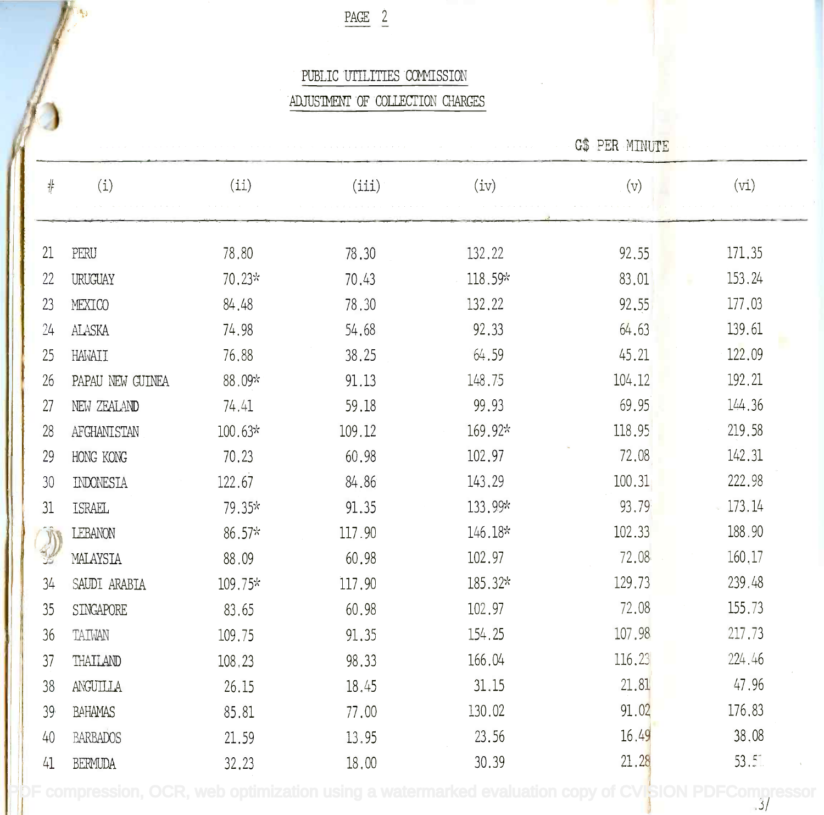$PAGE \t2$ 

# PUBLIC UTILITIES COMMISSION PUBLIC UTILITIESCCM1ISSION

# ADJUSTMENT OF COLLECTION CHARGES

|    |                  |           |        |         | <b>G\$ PER MINUTE</b> |        |
|----|------------------|-----------|--------|---------|-----------------------|--------|
| #  | (i)              | (ii)      | (iii)  | (iv)    | (v)                   | (vi)   |
|    |                  |           |        |         |                       |        |
| 21 | PERU             | 78.80     | 78.30  | 132.22  | 92.55                 | 171.35 |
| 22 | URUGUAY          | $70.23*$  | 70.43  | 118.59* | 83.01                 | 153.24 |
| 23 | MEXICO           | 84.48     | 78.30  | 132.22  | 92.55                 | 177.03 |
| 24 | ALASKA           | 74.98     | 54.68  | 92.33   | 64.63                 | 139.61 |
| 25 | HAWAII           | 76.88     | 38.25  | 64.59   | 45.21                 | 122.09 |
| 26 | PAPAU NEW GUINEA | 88.09*    | 91.13  | 148.75  | 104.12                | 192.21 |
| 27 | NEW ZEALAND      | 74.41     | 59.18  | 99.93   | 69.95                 | 144.36 |
| 28 | AFGHANISTAN      | $100.63*$ | 109.12 | 169.92* | 118.95                | 219.58 |
| 29 | HONG KONG        | 70.23     | 60.98  | 102.97  | 72.08                 | 142.31 |
| 30 | INDONESIA        | 122.67    | 84.86  | 143.29  | 100.31                | 222.98 |
| 31 | ISRAEL           | 79.35*    | 91.35  | 133.99* | 93.79                 | 173.14 |
| J  | LEBANON          | $86.57*$  | 117.90 | 146.18* | 102.33                | 188.90 |
|    | MALAYSIA         | 88.09     | 60.98  | 102.97  | 72.08                 | 160,17 |
| 34 | SAUDI ARABIA     | 109.75*   | 117.90 | 185.32* | 129.73                | 239.48 |
| 35 | SINGAPORE        | 83.65     | 60.98  | 102.97  | 72.08                 | 155.73 |
| 36 | TAIWAN           | 109.75    | 91.35  | 154.25  | 107.98                | 217.73 |
| 37 | THAILAND         | 108,23    | 98.33  | 166.04  | 116.23                | 224.46 |
| 38 | ANGUILLA         | 26.15     | 18.45  | 31.15   | 21.81                 | 47.96  |
| 39 | <b>BAHAMAS</b>   | 85.81     | 77.00  | 130.02  | 91.02                 | 176.83 |
| 40 | BARBADOS         | 21.59     | 13.95  | 23.56   | 16,49                 | 38,08  |
| 41 | <b>BERMUDA</b>   | 32.23     | 18,00  | 30.39   | 21.28                 | 53.5   |

[PDF compression, OCR, web optimization using a watermarked evaluation copy of CVISION PDFCompressor](http://www.cvisiontech.com)

.3/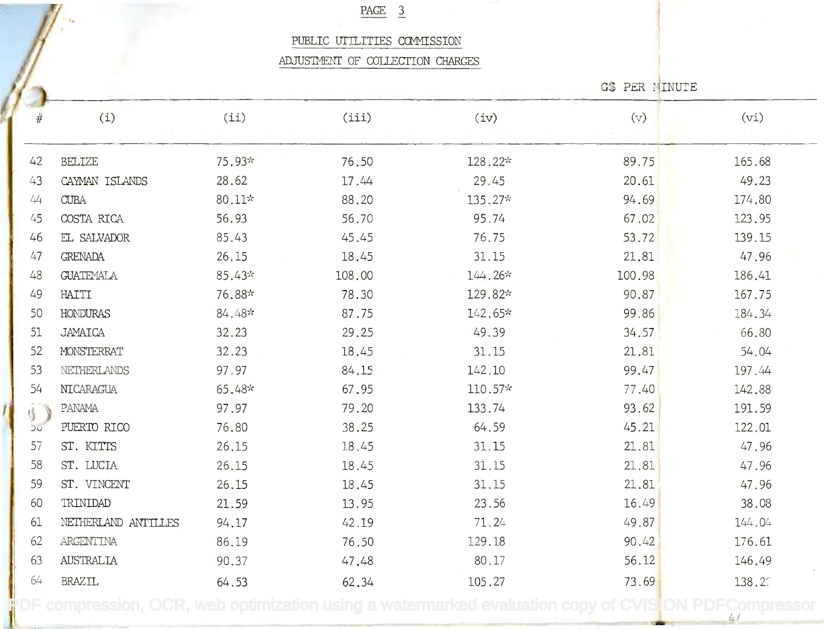# PAGE 3

### PUBLIC UTILITTFS COMMISSION PUBLIC UTILITIES CCMMISSION

#### ADJUSTMENT OF COLLECTION CHARGES

G\$ PER MINUTE

.4/

| #  | (i)                 | (ii)   | (iii)  | (iv)    | (v)    | (vi)   |
|----|---------------------|--------|--------|---------|--------|--------|
|    |                     |        |        |         |        |        |
| 42 | <b>BELIZE</b>       | 75.93* | 76.50  | 128.22* | 89.75  | 165.68 |
| 43 | CAYMAN ISLANDS      | 28.62  | 17.44  | 29.45   | 20.61  | 49.23  |
| 44 | <b>CUBA</b>         | 80.11* | 88.20  | 135.27* | 94.69  | 174,80 |
| 45 | COSTA RICA          | 56.93  | 56.70  | 95.74   | 67.02  | 123.95 |
| 46 | EL SALVADOR         | 85.43  | 45.45  | 76.75   | 53.72  | 139.15 |
| 47 | <b>GRENADA</b>      | 26.15  | 18.45  | 31.15   | 21.81  | 47.96  |
| 48 | <b>GUATEMALA</b>    | 85.43* | 108,00 | 144.26* | 100.98 | 186.41 |
| 49 | HAITI               | 76.88* | 78.30  | 129.82* | 90.87  | 167.75 |
| 50 | <b>HONDURAS</b>     | 84.48* | 87.75  | 142.65* | 99.86  | 184.34 |
| 51 | <b>JAMAICA</b>      | 32.23  | 29.25  | 49.39   | 34.57  | 66.80  |
| 52 | MONSTERRAT          | 32.23  | 18.45  | 31.15   | 21.81  | 54,04  |
| 53 | NETHERLANDS         | 97.97  | 84.15  | 142.10  | 99.47  | 197.44 |
| 54 | NICARAGUA           | 65.48* | 67.95  | 110.57* | 77.40  | 142.88 |
| 小  | PANAMA              | 97.97  | 79.20  | 133.74  | 93.62  | 191.59 |
| 50 | PUERTO RICO         | 76.80  | 38.25  | 64.59   | 45.21  | 122,01 |
| 57 | ST. KITTS           | 26.15  | 18.45  | 31.15   | 21.81  | 47,96  |
| 58 | ST. LUCIA           | 26.15  | 18.45  | 31.15   | 21.81  | 47.96  |
| 59 | ST. VINCENT         | 26.15  | 18.45  | 31.15   | 21.81  | 47.96  |
| 60 | TRINIDAD            | 21.59  | 13.95  | 23.56   | 16.49  | 38,08  |
| 61 | NETHERLAND ANTILLES | 94.17  | 42.19  | 71.24   | 49.87  | 144.04 |
| 62 | ARGENTINA           | 86.19  | 76.50  | 129.18  | 90.42  | 176.61 |
| 63 | <b>AUSTRALIA</b>    | 90.37  | 47.48  | 80.17   | 56.12  | 146.49 |
| 64 | <b>BRAZIL</b>       | 64.53  | 62.34  | 105.27  | 73.69  | 138.2  |
|    |                     |        |        |         |        |        |

.4/ **[PDF compression, OCR, web optimization using a watermarked evaluation copy of CVISION PDFCompressor](http://www.cvisiontech.com)**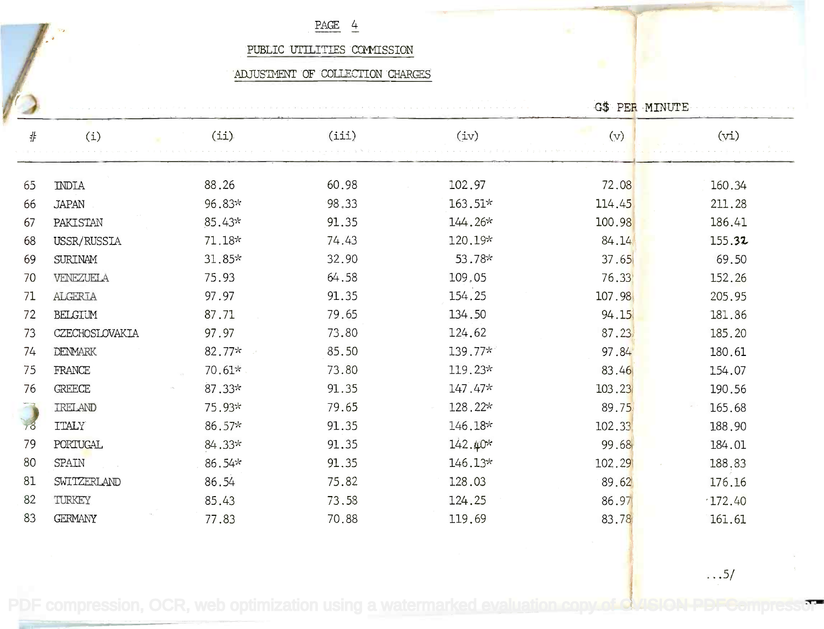### PAGE 4  $\frac{\text{PAGE}}{\text{PAGE}}$   $\frac{4}{5}$

### PUBLIC UTILIILES COWISSION PUBLIC UTILITIES COMMISSION

### ADJUSTMENT OF COLLECTION CHARGES

|    |                |          |       |           | G\$ PER MINUTE |        |
|----|----------------|----------|-------|-----------|----------------|--------|
| #  | (i)            | (i)      | (iii) | (iv)      | (v)            | (vi)   |
| 65 | <b>INDIA</b>   | 88.26    | 60.98 | 102.97    | 72.08          | 160.34 |
| 66 | <b>JAPAN</b>   | 96.83*   | 98.33 | 163.51*   | 114.45         | 211.28 |
| 67 | PAKISTAN       | 85.43*   | 91.35 | 144.26*   | 100.98         | 186.41 |
| 68 | USSR/RUSSIA    | $71.18*$ | 74.43 | 120.19*   | 84.14          | 155.32 |
| 69 | <b>SURINAM</b> | 31.85*   | 32.90 | 53.78*    | 37.65          | 69.50  |
| 70 | VENEZUELA      | 75.93    | 64.58 | 109,05    | 76.33          | 152.26 |
| 71 | ALGERIA        | 97.97    | 91.35 | 154.25    | 107.98         | 205.95 |
| 72 | BELGIUM        | 87.71    | 79.65 | 134.50    | 94.15          | 181.86 |
| 73 | CZECHOSLOVAKIA | 97.97    | 73.80 | 124.62    | 87.23.         | 185.20 |
| 74 | <b>DENMARK</b> | 82.77*   | 85.50 | 139.77*   | 97.84          | 180.61 |
| 75 | FRANCE         | 70.61*   | 73.80 | 119.23*   | 83.46          | 154.07 |
| 76 | <b>GREECE</b>  | $87.33*$ | 91.35 | $147.47*$ | 103.23         | 190.56 |
|    | <b>IRELAND</b> | 75.93*   | 79.65 | 128.22*   | 89.75          | 165.68 |
|    | <b>ITALY</b>   | 86.57*   | 91.35 | 146.18*   | 102.33         | 188.90 |
| 79 | PORTUGAL       | 84.33*   | 91.35 | $142.40*$ | 99.68          | 184.01 |
| 80 | <b>SPAIN</b>   | 86.54*   | 91.35 | $146.13*$ | 102.29         | 188.83 |
| 81 | SWITZERLAND    | 86.54    | 75.82 | 128.03    | 89.62          | 176.16 |
| 82 | TURKEY         | 85.43    | 73.58 | 124.25    | 86.97          | 172.40 |
| 83 | <b>GERMANY</b> | 77.83    | 70.88 | 119.69    | 83.78          | 161.61 |

[PDF compression, OCR, web optimization using a watermarked evaluation copy of CVISION PDFCompressor](http://www.cvisiontech.com)